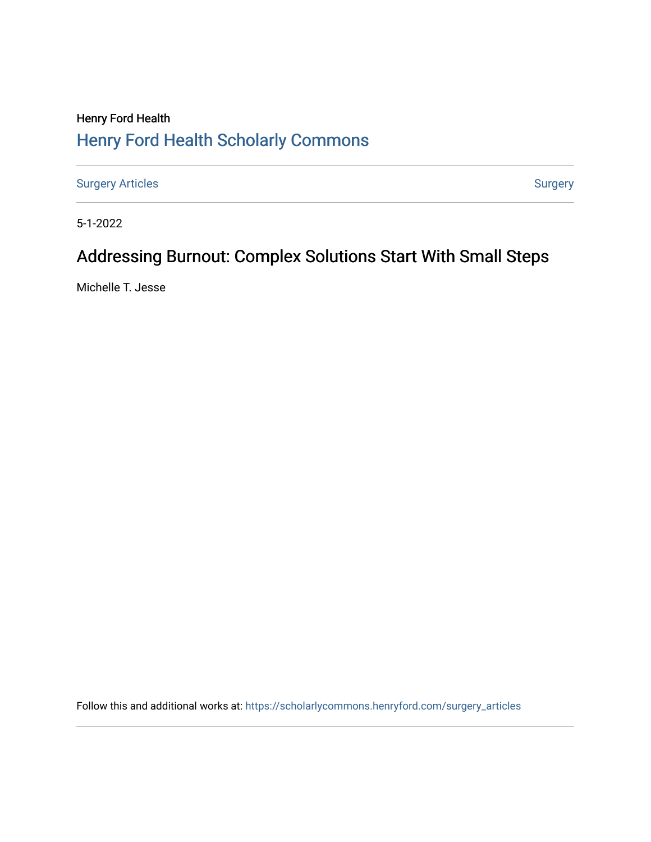## Henry Ford Health [Henry Ford Health Scholarly Commons](https://scholarlycommons.henryford.com/)

[Surgery Articles](https://scholarlycommons.henryford.com/surgery_articles) **[Surgery](https://scholarlycommons.henryford.com/surgery) Articles** Surgery

5-1-2022

## Addressing Burnout: Complex Solutions Start With Small Steps

Michelle T. Jesse

Follow this and additional works at: [https://scholarlycommons.henryford.com/surgery\\_articles](https://scholarlycommons.henryford.com/surgery_articles?utm_source=scholarlycommons.henryford.com%2Fsurgery_articles%2F570&utm_medium=PDF&utm_campaign=PDFCoverPages)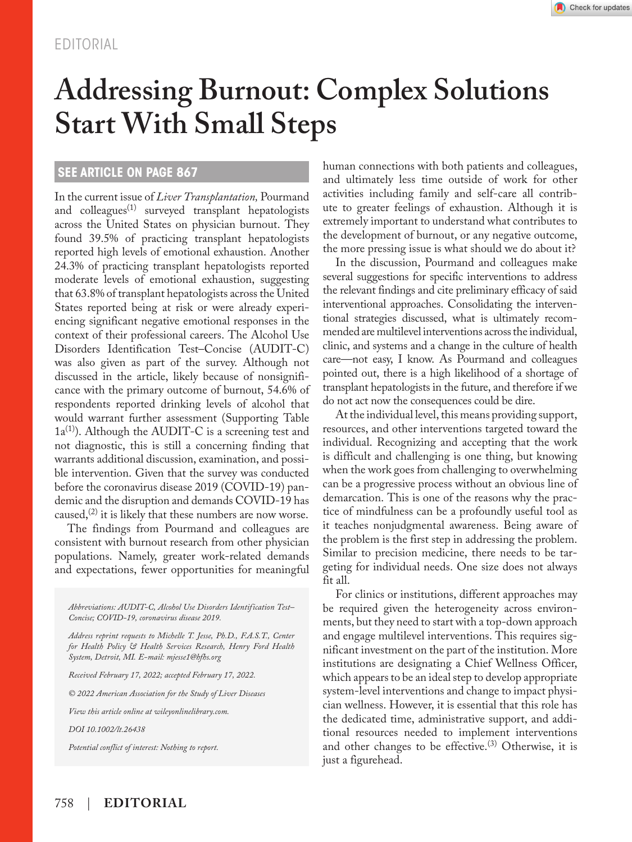# **Addressing Burnout: Complex Solutions Start With Small Steps**

### **SEE ARTICLE ON PAGE [867](https://doi.org/10.1002/lt.26375)**

In the current issue of *Liver Transplantation,* Pourmand and colleagues $<sup>(1)</sup>$  surveyed transplant hepatologists</sup> across the United States on physician burnout. They found 39.5% of practicing transplant hepatologists reported high levels of emotional exhaustion. Another 24.3% of practicing transplant hepatologists reported moderate levels of emotional exhaustion, suggesting that 63.8% of transplant hepatologists across the United States reported being at risk or were already experiencing significant negative emotional responses in the context of their professional careers. The Alcohol Use Disorders Identification Test–Concise (AUDIT-C) was also given as part of the survey. Although not discussed in the article, likely because of nonsignificance with the primary outcome of burnout, 54.6% of respondents reported drinking levels of alcohol that would warrant further assessment (Supporting Table 1a(1) ). Although the AUDIT-C is a screening test and not diagnostic, this is still a concerning finding that warrants additional discussion, examination, and possible intervention. Given that the survey was conducted before the coronavirus disease 2019 (COVID-19) pandemic and the disruption and demands COVID-19 has caused, $^{(2)}$  it is likely that these numbers are now worse.

The findings from Pourmand and colleagues are consistent with burnout research from other physician populations. Namely, greater work-related demands and expectations, fewer opportunities for meaningful

*Abbreviations: AUDIT-C, Alcohol Use Disorders Identification Test– Concise; COVID-19, coronavirus disease 2019.*

*Address reprint requests to Michelle T. Jesse, Ph.D., F.A.S.T., Center for Health Policy & Health Services Research, Henry Ford Health System, Detroit, MI. E-mail: [mjesse1@hfhs.org](mailto:mjesse1@hfhs.org)*

*Received February 17, 2022; accepted February 17, 2022.*

*© 2022 American Association for the Study of Liver Diseases*

*View this article online at wileyonlinelibrary.com.*

*DOI 10.1002/lt.26438*

*Potential conflict of interest: Nothing to report.*

human connections with both patients and colleagues, and ultimately less time outside of work for other activities including family and self-care all contribute to greater feelings of exhaustion. Although it is extremely important to understand what contributes to the development of burnout, or any negative outcome, the more pressing issue is what should we do about it?

In the discussion, Pourmand and colleagues make several suggestions for specific interventions to address the relevant findings and cite preliminary efficacy of said interventional approaches. Consolidating the interventional strategies discussed, what is ultimately recommended are multilevel interventions across the individual, clinic, and systems and a change in the culture of health care—not easy, I know. As Pourmand and colleagues pointed out, there is a high likelihood of a shortage of transplant hepatologists in the future, and therefore if we do not act now the consequences could be dire.

At the individual level, this means providing support, resources, and other interventions targeted toward the individual. Recognizing and accepting that the work is difficult and challenging is one thing, but knowing when the work goes from challenging to overwhelming can be a progressive process without an obvious line of demarcation. This is one of the reasons why the practice of mindfulness can be a profoundly useful tool as it teaches nonjudgmental awareness. Being aware of the problem is the first step in addressing the problem. Similar to precision medicine, there needs to be targeting for individual needs. One size does not always fit all.

For clinics or institutions, different approaches may be required given the heterogeneity across environments, but they need to start with a top-down approach and engage multilevel interventions. This requires significant investment on the part of the institution. More institutions are designating a Chief Wellness Officer, which appears to be an ideal step to develop appropriate system-level interventions and change to impact physician wellness. However, it is essential that this role has the dedicated time, administrative support, and additional resources needed to implement interventions and other changes to be effective.<sup>(3)</sup> Otherwise, it is just a figurehead.